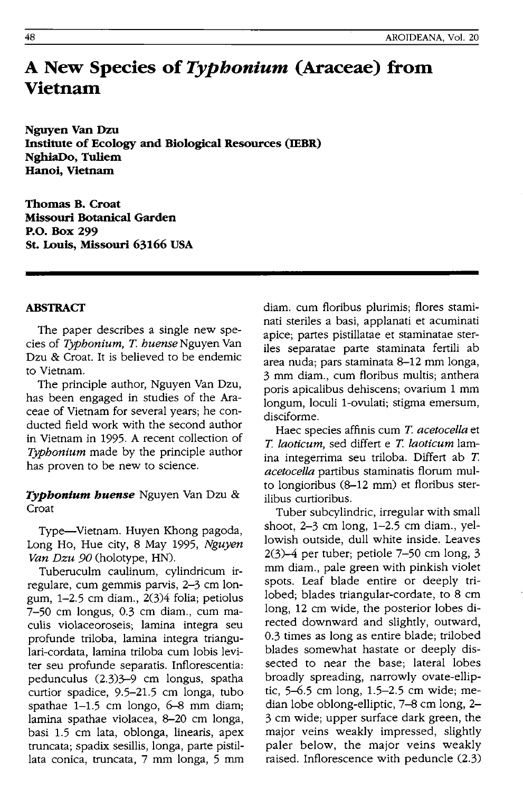# **A New Species of** *Typhonium* **(Araceae) from Vietnam**

**Nguyen Van Dzu Institute of Ecology and Biological Resources (IEBR) NghiaDo, Tuliem Hanoi, Vietnam** 

**Thomas B. Croat Missouri Botanical Garden P.O. Box 299 St. Louis, Missouri 63166 USA** 

## **ABSTRACf**

The paper describes a single new species of *Typbonium,* T. *buense* Nguyen Van Dzu & Croat. It is believed to be endemic to Vietnam.

The principle author, Nguyen Van Dzu, has been engaged in studies of the Araceae of Vietnam for several years; he conducted field work with the second author in Vietnam in 1995. A recent collection of *Typhonium* made by the principle author has proven to be new to science.

# *Typbonium buense* Nguyen Van Dzu & Croat

Type-Vietnam. Huyen Khong pagoda, Long Ho, Hue city, 8 May 1995, *Nguyen Van Dzu 90* (holotype, HN).

Tuberuculm caulinum, cylindricum irregulare, cum gemmis parvis, 2-3 cm longum, 1-2.5 cm diam., 2(3)4 folia; petiolus 7-50 cm longus, 0.3 cm diam., cum maculis violaceoroseis; lamina integra seu profunde triloba, lamina integra triangulari-cordata, lamina triloba cum lobis leviter seu profunde separatis. Inflorescentia: pedunculus (2.3)3-9 cm longus, spatha curtior spadice, 9.5-21.5 cm longa, tubo spathae 1-1.5 cm longo, 6-8 mm diam; lamina spathae violacea, 8-20 cm longa, basi 1.5 cm lata, oblonga, linearis, apex truncata; spadix sesillis, longa. parte pistillata conica, truncata, 7 mm longa, 5 mm diam. cum floribus plurimis; flores staminati steriles a basi, applanati et acuminati apice; partes pistillatae et staminatae steriles separatae parte staminata fertili ab area nuda; pars staminata 8-12 mm longa, 3 mm diam., cum floribus multis; anthera poris apicalibus dehiscens; ovarium 1 mm longum, loculi l-ovulati; stigma emersum, disciforme.

Haec species affinis cum T. *acetocella* et *T. laoticum,* sed differt e *T. laoticum* lamina integerrima seu triloba. Differt ab T. *acetocella* partibus staminatis florum multo longioribus (8-12 mm) et floribus sterilibus curtioribus.

Tuber subcylindric, irregular with small shoot, 2-3 cm long, 1-2.5 cm diam., yellowish outside, dull white inside. Leaves 2(3)-4 per tuber; petiole 7-50 cm long, 3 mm diam., pale green with pinkish violet spots. Leaf blade entire or deeply trilobed; blades triangular-cordate, to 8 cm long, 12 cm wide, the posterior lobes directed downward and slightly, outward, 0.3 times as long as entire blade; trilobed blades somewhat hastate or deeply dissected to near the base; lateral lobes broadly spreading, narrowly ovate-elliptic, 5-6.5 cm long, 1.5-2.5 cm wide; median lobe oblong-elliptic, 7-8 cm long, 2- 3 cm wide; upper surface dark green, the major veins weakly impressed, slightly paler below, the major veins weakly raised. Inflorescence with peduncle (2.3)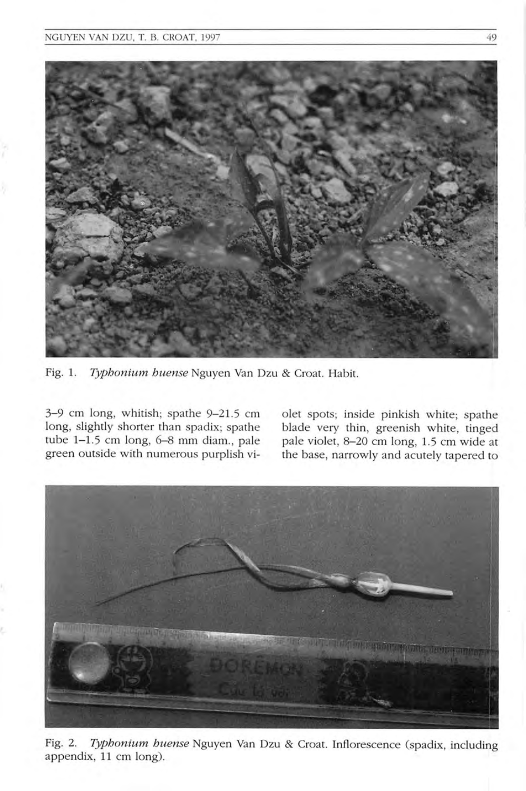

Fig. 1. *Typhonium huense* Nguyen Van Dzu & Croat. Habit.

3-9 cm long, whitish; spathe 9-21.5 cm long, slightly shorter than spadix; spathe tube  $1-1.5$  cm long,  $6-8$  mm diam., pale green outside with numerous purplish vi-

olet spots; inside pinkish white; spathe blade very thin, greenish white, tinged pale violet, 8-20 cm long, 1.5 cm wide at the base, narrowly and acutely tapered to



Fig. 2. *Typhonium huense* Nguyen Van Dzu & Croat. Inflorescence (spadix, including appendix, 11 cm long).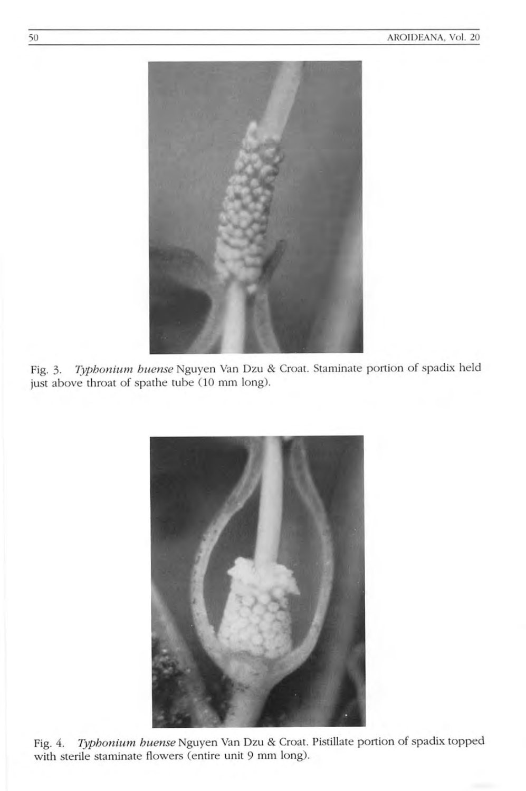

Fig. 3. *Typhonium huense* Nguyen Van Dzu & Croat. Staminate portion of spadix held just above throat of spathe tube (10 mm long).



Fig. 4. *Typhonium huense* Nguyen Van Dzu & Croat. Pistillate portion of spadix topped with sterile staminate flowers (entire unit 9 mm long).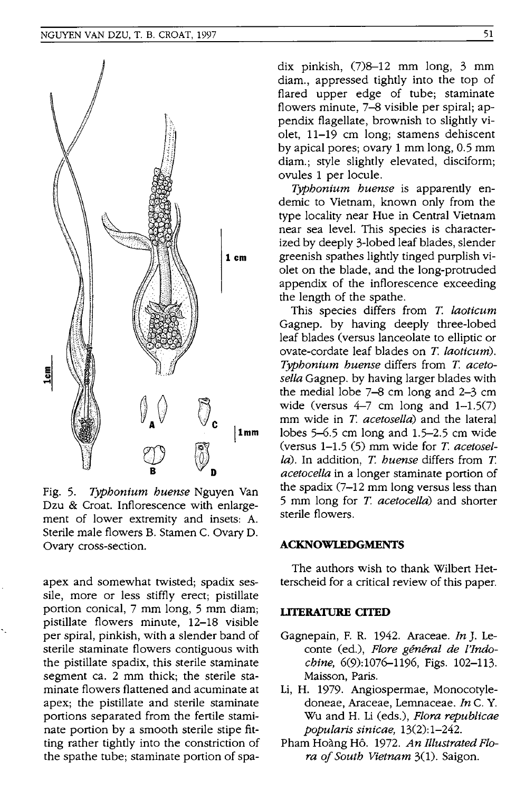

Fig. 5. *Typhonium huense* Nguyen Van Dzu & Croat. Inflorescence with enlargement of lower extremity and insets: A. Sterile male flowers B. Stamen C. Ovary D. Ovary cross-section.

apex and somewhat twisted; spadix sessile, more or less stiffly erect; pistillate portion conical, 7 mm long, 5 mm diam; pistillate flowers minute, 12-18 visible per spiral, pinkish, with a slender band of sterile staminate flowers contiguous with the pistillate spadix, this sterile staminate segment ca. 2 mm thick; the sterile staminate flowers flattened and acuminate at apex; the pistillate and sterile staminate portions separated from the fertile staminate portion by a smooth sterile stipe fitting rather tightly into the constriction of the spathe tube; staminate portion of spadix pinkish, (7)8-12 mm long, 3 mm diam., appressed tightly into the top of flared upper edge of tube; staminate flowers minute, 7-8 visible per spiral; appendix flagellate, brownish to slightly violet, 11-19 cm long; stamens dehiscent by apical pores; ovary 1 mm long, 0.5 mm diam.; style slightly elevated, disciform; ovules 1 per locule.

*Typhonium huense* is apparently endemic to Vietnam, known only from the type locality near Hue in Central Vietnam near sea level. This species is characterized by deeply 3-lobed leaf blades, slender greenish spathes lightly tinged purplish violet on the blade, and the long-protruded appendix of the inflorescence exceeding the length of the spathe.

This species differs from T. *laoticum*  Gagnep. by having deeply three-lobed leaf blades (versus lanceolate to elliptic or ovate-cordate leaf blades on T. *laoticum). Typhonium huense* differs from T. *acetosella* Gagnep. by having larger blades with the medial lobe 7-8 cm long and 2-3 cm wide (versus  $4-7$  cm long and  $1-1.5(7)$ mm wide in T. *acetosella)* and the lateral lobes 5-6.5 cm long and 1.5-2.5 cm wide (versus 1-1.5 (5) mm wide for T. *acetosella).* In addition, T. *huense* differs from T. *acetocella* in a longer staminate portion of the spadix (7-12 mm long versus less than 5 mm long for T. *acetocella)* and shorter sterile flowers.

### **ACKNOWLEDGMENTS**

The authors wish to thank Wilbert Hetterscheid for a critical review of this paper.

#### **LITERATURE CITED**

- Gagnepain, F. R. 1942. Araceae. *In* J. Leconte (ed.), Flore général de l'Indo*chine,* 6(9):1076-1196, Figs. 102-113. Maisson, Paris.
- Li, H. 1979. Angiospermae, Monocotyledoneae, Araceae, Lemnaceae. *In* C. Y. Wu and H. Li (eds.), *Flora republicae popularis sinicae, 13(2):1-242.*
- Pham Hoang H6. 1972. *An Illustrated Flora of South Vietnam* 3(1). Saigon.